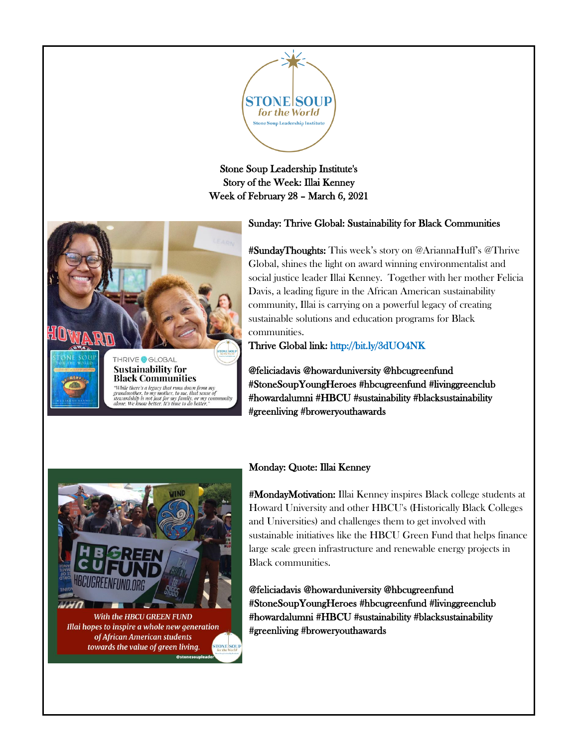

## Stone Soup Leadership Institute's Story of the Week: Illai Kenney Week of February 28 – March 6, 2021



# Sunday: Thrive Global: Sustainability for Black Communities

#SundayThoughts: This week's story on @AriannaHuff's @Thrive Global, shines the light on award winning environmentalist and social justice leader Illai Kenney. Together with her mother Felicia Davis, a leading figure in the African American sustainability community, Illai is carrying on a powerful legacy of creating sustainable solutions and education programs for Black communities.

Thrive Global link: [http://bit.ly/3dUO4NK](https://t.co/9bXSVX0vkN?amp=1) 

@feliciadavis @howarduniversity @hbcugreenfund #StoneSoupYoungHeroes [#hbcugreenfund](https://www.instagram.com/explore/tags/hbcugreenfund/) [#livinggreenclub](https://www.instagram.com/explore/tags/livinggreenclub%E2%99%BB%EF%B8%8F/)  [#howardalumni](https://www.instagram.com/explore/tags/howardalumni/) [#HBCU](https://www.instagram.com/explore/tags/hbcu/) #sustainabilit[y #blacksustainability](https://www.instagram.com/explore/tags/blacksustainability/)  #greenliving [#broweryouthawards](https://www.instagram.com/explore/tags/broweryouthawards/)



of African American students towards the value of green living.

#### Monday: Quote: Illai Kenney

#MondayMotivation: Illai Kenney inspires Black college students at Howard University and other HBCU's (Historically Black Colleges and Universities) and challenges them to get involved with sustainable initiatives like the HBCU Green Fund that helps finance large scale green infrastructure and renewable energy projects in Black communities.

@feliciadavis @howarduniversity @hbcugreenfund #StoneSoupYoungHeroe[s #hbcugreenfund](https://www.instagram.com/explore/tags/hbcugreenfund/) [#livinggreenclub](https://www.instagram.com/explore/tags/livinggreenclub%E2%99%BB%EF%B8%8F/)  [#howardalumni](https://www.instagram.com/explore/tags/howardalumni/) [#HBCU](https://www.instagram.com/explore/tags/hbcu/) #sustainability [#blacksustainability](https://www.instagram.com/explore/tags/blacksustainability/)  #greenlivin[g #broweryouthawards](https://www.instagram.com/explore/tags/broweryouthawards/)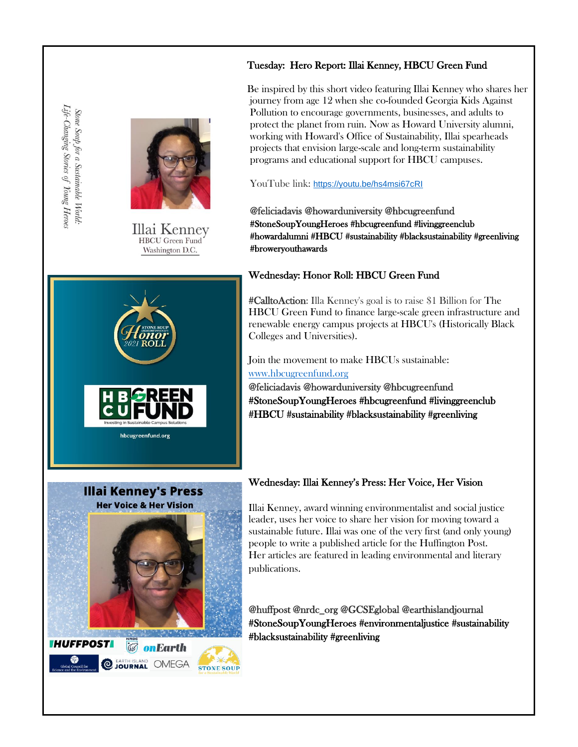## Tuesday: Hero Report: Illai Kenney, HBCU Green Fund



Illai Kenney **HBCU** Green Fund Washington D.C.



Be inspired by this short video featuring Illai Kenney who shares her journey from age 12 when she co-founded Georgia Kids Against Pollution to encourage governments, businesses, and adults to protect the planet from ruin. Now as Howard University alumni, working with Howard's Office of Sustainability, Illai spearheads projects that envision large-scale and long-term sustainability programs and educational support for HBCU campuses.

YouTube link: <https://youtu.be/hs4msi67cRI>

@feliciadavis @howarduniversity @hbcugreenfund #StoneSoupYoungHeroes [#hbcugreenfund](https://www.instagram.com/explore/tags/hbcugreenfund/) [#livinggreenclub](https://www.instagram.com/explore/tags/livinggreenclub%E2%99%BB%EF%B8%8F/)  [#howardalumni](https://www.instagram.com/explore/tags/howardalumni/) [#HBCU #](https://www.instagram.com/explore/tags/hbcu/)sustainability [#blacksustainability](https://www.instagram.com/explore/tags/blacksustainability/) #greenliving [#broweryouthawards](https://www.instagram.com/explore/tags/broweryouthawards/) 

## Wednesday: Honor Roll: HBCU Green Fund

#CalltoAction: Illa Kenney's goal is to raise \$1 Billion for The HBCU Green Fund to finance large-scale green infrastructure and renewable energy campus projects at HBCU's (Historically Black Colleges and Universities).

Join the movement to make HBCUs sustainable:

## [www.hbcugreenfund.org](http://www.hbcugreenfund.org/)

@feliciadavis @howarduniversity @hbcugreenfund #StoneSoupYoungHeroes [#hbcugreenfund](https://www.instagram.com/explore/tags/hbcugreenfund/) [#livinggreenclub](https://www.instagram.com/explore/tags/livinggreenclub%E2%99%BB%EF%B8%8F/)  [#HBCU](https://www.instagram.com/explore/tags/hbcu/) #sustainability [#blacksustainability](https://www.instagram.com/explore/tags/blacksustainability/) #greenliving



## Wednesday: Illai Kenney's Press: Her Voice, Her Vision

Illai Kenney, award winning environmentalist and social justice leader, uses her voice to share her vision for moving toward a sustainable future. Illai was one of the very first (and only young) people to write a published article for the Huffington Post. Her articles are featured in leading environmental and literary publications.

@huffpost @nrdc\_org @GCSEglobal @earthislandjournal #StoneSoupYoungHeroes #environmentaljustice #sustainability [#blacksustainability](https://www.instagram.com/explore/tags/blacksustainability/) #greenliving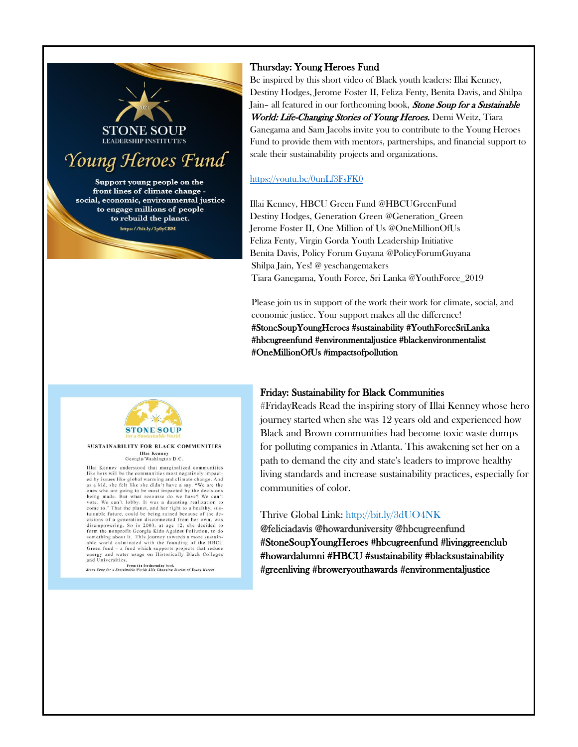

Support young people on the front lines of climate change social, economic, environmental justice to engage millions of people to rebuild the planet. https://bit.ly/3p0yCBM

## Thursday: Young Heroes Fund

Be inspired by this short video of Black youth leaders: Illai Kenney, Destiny Hodges, Jerome Foster II, Feliza Fenty, Benita Davis, and Shilpa Jain- all featured in our forthcoming book, Stone Soup for a Sustainable World: Life-Changing Stories of Young Heroes. Demi Weitz, Tiara Ganegama and Sam Jacobs invite you to contribute to the Young Heroes Fund to provide them with mentors, partnerships, and financial support to scale their sustainability projects and organizations.

#### <https://youtu.be/0unLf3FsFK0>

Illai Kenney, HBCU Green Fund @HBCUGreenFund Destiny Hodges, Generation Green @Generation\_Green Jerome Foster II, One Million of Us @OneMillionOfUs Feliza Fenty, Virgin Gorda Youth Leadership Initiative Benita Davis, Policy Forum Guyana @PolicyForumGuyana Shilpa Jain, Yes! @ yeschangemakers Tiara Ganegama, Youth Force, Sri Lanka @YouthForce\_2019

Please join us in support of the work their work for climate, social, and economic justice. Your support makes all the difference! #StoneSoupYoungHeroes #sustainability [#YouthForceSriLanka](https://www.instagram.com/explore/tags/youthforcesrilanka/)  [#hbcugreenfund](https://www.instagram.com/explore/tags/hbcugreenfund/) #environmentaljustice #blackenvironmentalist [#OneMillionOfUs](https://www.instagram.com/explore/tags/onemillionofus/) #impactsofpollution

## Friday: Sustainability for Black Communities

#FridayReads Read the inspiring story of Illai Kenney whose hero journey started when she was 12 years old and experienced how Black and Brown communities had become toxic waste dumps for polluting companies in Atlanta. This awakening set her on a path to demand the city and state's leaders to improve healthy living standards and increase sustainability practices, especially for communities of color.

## Thrive Global Link: [http://bit.ly/3dUO4NK](https://t.co/9bXSVX0vkN?amp=1)

@feliciadavis @howarduniversity @hbcugreenfund #StoneSoupYoungHeroes [#hbcugreenfund](https://www.instagram.com/explore/tags/hbcugreenfund/) [#livinggreenclub](https://www.instagram.com/explore/tags/livinggreenclub%E2%99%BB%EF%B8%8F/)  [#howardalumni](https://www.instagram.com/explore/tags/howardalumni/) [#HBCU](https://www.instagram.com/explore/tags/hbcu/) #sustainability [#blacksustainability](https://www.instagram.com/explore/tags/blacksustainability/)  #greenliving [#broweryouthawards](https://www.instagram.com/explore/tags/broweryouthawards/) #environmentaljustice



#### SUSTAINABILITY FOR BLACK COMMUNITIES Illai Kenney<br>Georgia/Washington D.C.

Illai Kenney understood that marginalized communities<br>like hers will be the communities most negatively impacted by issues like global warming and climate change. And<br>as a kid, she felt like she didn't have a say. "We are the<br>ones who are going to be most impacted by the decisions being made. But what recourse do we have? We can't vote. We can't lobby. It was a daunting realization to come to." That the planet, and her right to a healthy, sustainable future, could be being ruined because of the deexistent culture, contained disconnected from her own, was<br>disempowering. So in 2003, at age 12, she decided to<br>form the nonprofit Georgia Kids Against Pollution, to do something about it. This journey towards a more sustainable world culminated with the founding of the HBCU Green fund – a fund which supports projects that reduce Store and Water usage on Historically Black Colleges<br>and Universities.<br>Stone Soup for a Sustainable World: Life-Changing Stories of Young Heroes